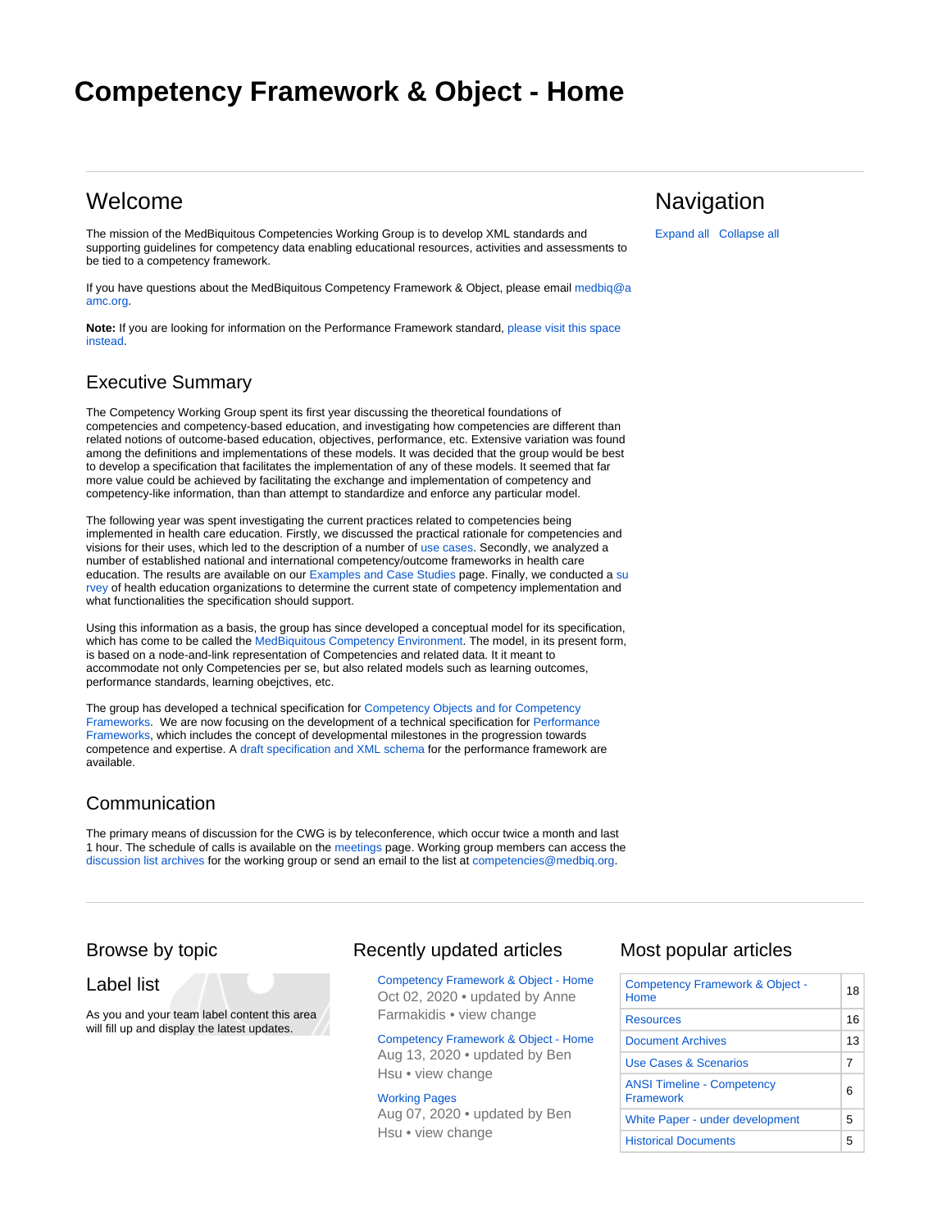# <span id="page-0-0"></span>**Competency Framework & Object - Home**

# Welcome

The mission of the MedBiquitous Competencies Working Group is to develop XML standards and supporting guidelines for competency data enabling educational resources, activities and assessments to be tied to a competency framework.

If you have questions about the MedBiquitous Competency Framework & Object, please email [medbiq@a](mailto:medbiq@aamc.org) [amc.org.](mailto:medbiq@aamc.org)

**Note:** If you are looking for information on the Performance Framework standard, [please visit this space](http://groups.medbiq.org/medbiq/display/PF/Performance+Framework+-+Home)  [instead.](http://groups.medbiq.org/medbiq/display/PF/Performance+Framework+-+Home)

### Executive Summary

The Competency Working Group spent its first year discussing the theoretical foundations of competencies and competency-based education, and investigating how competencies are different than related notions of outcome-based education, objectives, performance, etc. Extensive variation was found among the definitions and implementations of these models. It was decided that the group would be best to develop a specification that facilitates the implementation of any of these models. It seemed that far more value could be achieved by facilitating the exchange and implementation of competency and competency-like information, than than attempt to standardize and enforce any particular model.

The following year was spent investigating the current practices related to competencies being implemented in health care education. Firstly, we discussed the practical rationale for competencies and visions for their uses, which led to the description of a number of [use cases.](http://groups.medbiq.org/medbiq/pages/viewpage.action?pageId=59638471) Secondly, we analyzed a number of established national and international competency/outcome frameworks in health care education. The results are available on our [Examples and Case Studies p](http://groups.medbiq.org/medbiq/display/CF/Examples+and+Case+Studies)age. Finally, we conducted a [su](http://groups.medbiq.org/medbiq/display/CF/Survey+Results+and+Analysis) [rvey](http://groups.medbiq.org/medbiq/display/CF/Survey+Results+and+Analysis) of health education organizations to determine the current state of competency implementation and what functionalities the specification should support.

Using this information as a basis, the group has since developed a conceptual model for its specification, which has come to be called the [MedBiquitous Competency Environment](http://groups.medbiq.org/medbiq/display/CF/Conceptual+Model). The model, in its present form, is based on a node-and-link representation of Competencies and related data. It it meant to accommodate not only Competencies per se, but also related models such as learning outcomes, performance standards, learning obejctives, etc.

The group has developed a technical specification for [Competency Objects](http://groups.medbiq.org/medbiq/display/CWG/Specifications+and+Schemas) [and for](http://groups.medbiq.org/medbiq/pages/viewpage.action?pageId=59638439) [Competency](http://groups.medbiq.org/medbiq/display/CWG/Specifications+and+Schemas)  [Frameworks.](http://groups.medbiq.org/medbiq/display/CWG/Specifications+and+Schemas) We are now focusing on the development of a technical specification for [Performance](http://groups.medbiq.org/medbiq/display/PF/Performance+Framework+-+Home)  [Frameworks,](http://groups.medbiq.org/medbiq/display/PF/Performance+Framework+-+Home) which includes the concept of developmental milestones in the progression towards competence and expertise. A [draft specification and XML schema](http://groups.medbiq.org/medbiq/display/PF/Specifications+and+Schemas) for the performance framework are available.

## Communication

The primary means of discussion for the CWG is by teleconference, which occur twice a month and last 1 hour. The schedule of calls is available on the [meetings](http://groups.medbiq.org/medbiq/display/CF/Meeting+Archives) page. Working group members can access the [discussion list archives f](http://medbiq.org/pipermail/competencies_medbiq.org/)or the working group or send an email to the list at [competencies@medbiq.org.](mailto:competencies@medbiq.org)

### Browse by topic

Label list

As you and your team label content this area will fill up and display the latest updates.

### Recently updated articles

[Competency Framework & Object - Home](#page-0-0) Oct 02, 2020 • updated by [Anne](http://groups.medbiq.org/medbiq/display/~afarmakidis)  [Farmakidis •](http://groups.medbiq.org/medbiq/display/~afarmakidis) [view change](http://groups.medbiq.org/medbiq/pages/diffpagesbyversion.action?pageId=59638119&selectedPageVersions=22&selectedPageVersions=21)

[Competency Framework & Object - Home](#page-0-0) Aug 13, 2020 • updated by [Ben](http://groups.medbiq.org/medbiq/display/~bhsu)  [Hsu](http://groups.medbiq.org/medbiq/display/~bhsu) • [view change](http://groups.medbiq.org/medbiq/pages/diffpagesbyversion.action?pageId=59638119&selectedPageVersions=21&selectedPageVersions=20)

[Working Pages](http://groups.medbiq.org/medbiq/display/CF/Working+Pages) Aug 07, 2020 • updated by [Ben](http://groups.medbiq.org/medbiq/display/~bhsu)  [Hsu](http://groups.medbiq.org/medbiq/display/~bhsu) • [view change](http://groups.medbiq.org/medbiq/pages/diffpagesbyversion.action?pageId=59638529&selectedPageVersions=2&selectedPageVersions=1)

### **Navigation**

Expand all Collapse all

Most popular articles

| <b>Competency Framework &amp; Object -</b><br>Home    | 18 |
|-------------------------------------------------------|----|
| <b>Resources</b>                                      | 16 |
| <b>Document Archives</b>                              | 13 |
| Use Cases & Scenarios                                 | 7  |
| <b>ANSI Timeline - Competency</b><br><b>Framework</b> | 6  |
| <b>White Paper - under development</b>                | 5  |
| <b>Historical Documents</b>                           | 5  |